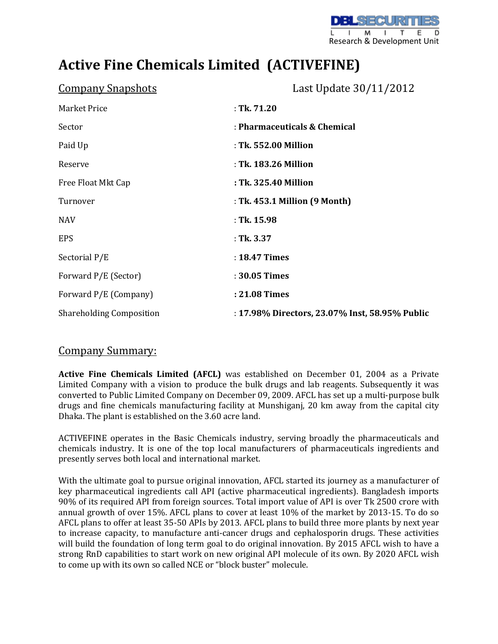## **Active Fine Chemicals Limited (ACTIVEFINE)**

| <b>Company Snapshots</b>        | Last Update 30/11/2012                         |  |  |
|---------------------------------|------------------------------------------------|--|--|
| <b>Market Price</b>             | $:$ Tk. 71.20                                  |  |  |
| Sector                          | : Pharmaceuticals & Chemical                   |  |  |
| Paid Up                         | : Tk. 552.00 Million                           |  |  |
| Reserve                         | : Tk. 183.26 Million                           |  |  |
| Free Float Mkt Cap              | : Tk. 325.40 Million                           |  |  |
| Turnover                        | : Tk. 453.1 Million (9 Month)                  |  |  |
| <b>NAV</b>                      | $:$ Tk. 15.98                                  |  |  |
| <b>EPS</b>                      | : Tk. 3.37                                     |  |  |
| Sectorial P/E                   | : 18.47 Times                                  |  |  |
| Forward P/E (Sector)            | : 30.05 Times                                  |  |  |
| Forward P/E (Company)           | : 21.08 Times                                  |  |  |
| <b>Shareholding Composition</b> | : 17.98% Directors, 23.07% Inst, 58.95% Public |  |  |

## Company Summary:

**Active Fine Chemicals Limited (AFCL)** was established on December 01, 2004 as a Private Limited Company with a vision to produce the bulk drugs and lab reagents. Subsequently it was converted to Public Limited Company on December 09, 2009. AFCL has set up a multi-purpose bulk drugs and fine chemicals manufacturing facility at Munshiganj, 20 km away from the capital city Dhaka. The plant is established on the 3.60 acre land.

ACTIVEFINE operates in the Basic Chemicals industry, serving broadly the pharmaceuticals and chemicals industry. It is one of the top local manufacturers of pharmaceuticals ingredients and presently serves both local and international market.

With the ultimate goal to pursue original innovation, AFCL started its journey as a manufacturer of key pharmaceutical ingredients call API (active pharmaceutical ingredients). Bangladesh imports 90% of its required API from foreign sources. Total import value of API is over Tk 2500 crore with annual growth of over 15%. AFCL plans to cover at least 10% of the market by 2013-15. To do so AFCL plans to offer at least 35-50 APIs by 2013. AFCL plans to build three more plants by next year to increase capacity, to manufacture anti-cancer drugs and cephalosporin drugs. These activities will build the foundation of long term goal to do original innovation. By 2015 AFCL wish to have a strong RnD capabilities to start work on new original API molecule of its own. By 2020 AFCL wish to come up with its own so called NCE or "block buster" molecule.